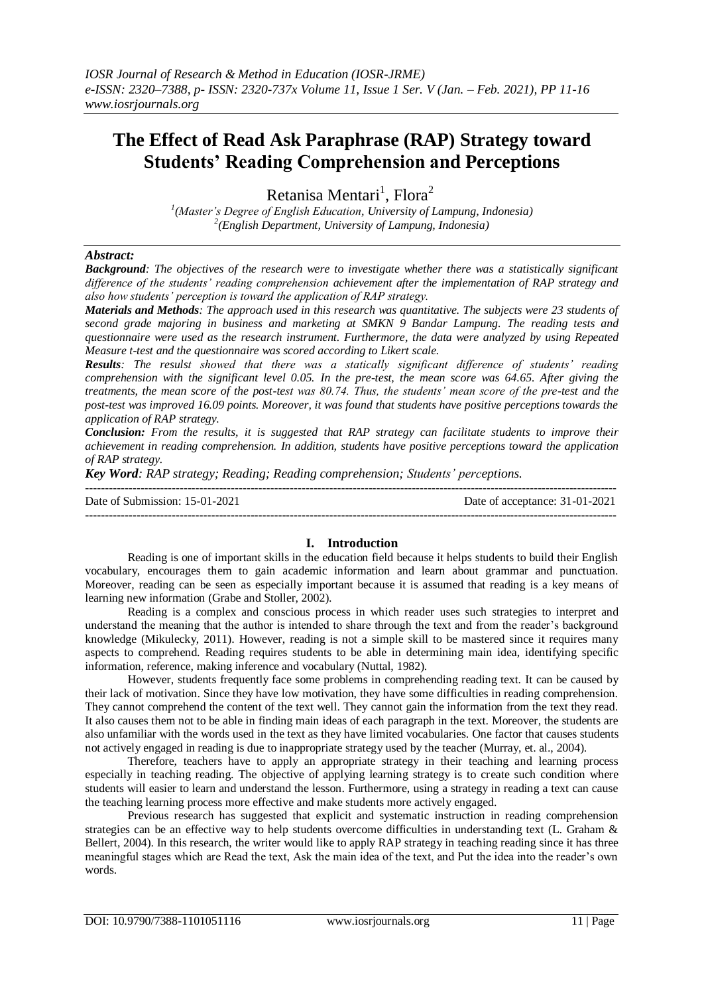# **The Effect of Read Ask Paraphrase (RAP) Strategy toward Students' Reading Comprehension and Perceptions**

Retanisa Mentari<sup>1</sup>, Flora<sup>2</sup>

*1 (Master's Degree of English Education, University of Lampung, Indonesia) 2 (English Department, University of Lampung, Indonesia)* 

# *Abstract:*

*Background: The objectives of the research were to investigate whether there was a statistically significant difference of the students' reading comprehension achievement after the implementation of RAP strategy and also how students' perception is toward the application of RAP strategy.*

*Materials and Methods: The approach used in this research was quantitative. The subjects were 23 students of second grade majoring in business and marketing at SMKN 9 Bandar Lampung. The reading tests and questionnaire were used as the research instrument. Furthermore, the data were analyzed by using Repeated Measure t-test and the questionnaire was scored according to Likert scale.*

*Results: The resulst showed that there was a statically significant difference of students' reading comprehension with the significant level 0.05. In the pre-test, the mean score was 64.65. After giving the treatments, the mean score of the post-test was 80.74. Thus, the students' mean score of the pre-test and the post-test was improved 16.09 points. Moreover, it was found that students have positive perceptions towards the application of RAP strategy.*

*Conclusion: From the results, it is suggested that RAP strategy can facilitate students to improve their achievement in reading comprehension. In addition, students have positive perceptions toward the application of RAP strategy.*

*Key Word: RAP strategy; Reading; Reading comprehension; Students' perceptions.*

--------------------------------------------------------------------------------------------------------------------------------------- Date of Submission: 15-01-2021 Date of acceptance: 31-01-2021 ---------------------------------------------------------------------------------------------------------------------------------------

# **I. Introduction**

Reading is one of important skills in the education field because it helps students to build their English vocabulary, encourages them to gain academic information and learn about grammar and punctuation. Moreover, reading can be seen as especially important because it is assumed that reading is a key means of learning new information (Grabe and Stoller, 2002).

Reading is a complex and conscious process in which reader uses such strategies to interpret and understand the meaning that the author is intended to share through the text and from the reader's background knowledge (Mikulecky, 2011). However, reading is not a simple skill to be mastered since it requires many aspects to comprehend. Reading requires students to be able in determining main idea, identifying specific information, reference, making inference and vocabulary (Nuttal, 1982).

However, students frequently face some problems in comprehending reading text. It can be caused by their lack of motivation. Since they have low motivation, they have some difficulties in reading comprehension. They cannot comprehend the content of the text well. They cannot gain the information from the text they read. It also causes them not to be able in finding main ideas of each paragraph in the text. Moreover, the students are also unfamiliar with the words used in the text as they have limited vocabularies. One factor that causes students not actively engaged in reading is due to inappropriate strategy used by the teacher (Murray, et. al., 2004).

Therefore, teachers have to apply an appropriate strategy in their teaching and learning process especially in teaching reading. The objective of applying learning strategy is to create such condition where students will easier to learn and understand the lesson. Furthermore, using a strategy in reading a text can cause the teaching learning process more effective and make students more actively engaged.

Previous research has suggested that explicit and systematic instruction in reading comprehension strategies can be an effective way to help students overcome difficulties in understanding text (L. Graham & Bellert, 2004). In this research, the writer would like to apply RAP strategy in teaching reading since it has three meaningful stages which are Read the text, Ask the main idea of the text, and Put the idea into the reader's own words.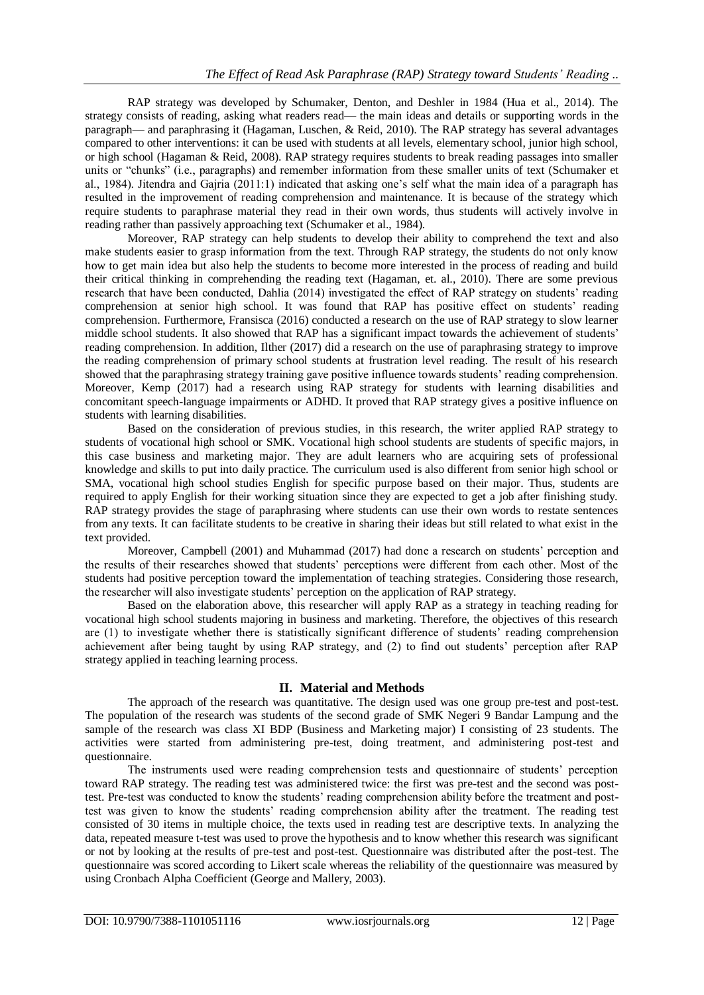RAP strategy was developed by Schumaker, Denton, and Deshler in 1984 (Hua et al., 2014). The strategy consists of reading, asking what readers read— the main ideas and details or supporting words in the paragraph— and paraphrasing it (Hagaman, Luschen, & Reid, 2010). The RAP strategy has several advantages compared to other interventions: it can be used with students at all levels, elementary school, junior high school, or high school (Hagaman & Reid, 2008). RAP strategy requires students to break reading passages into smaller units or "chunks" (i.e., paragraphs) and remember information from these smaller units of text (Schumaker et al., 1984). Jitendra and Gajria (2011:1) indicated that asking one's self what the main idea of a paragraph has resulted in the improvement of reading comprehension and maintenance. It is because of the strategy which require students to paraphrase material they read in their own words, thus students will actively involve in reading rather than passively approaching text (Schumaker et al., 1984).

Moreover, RAP strategy can help students to develop their ability to comprehend the text and also make students easier to grasp information from the text. Through RAP strategy, the students do not only know how to get main idea but also help the students to become more interested in the process of reading and build their critical thinking in comprehending the reading text (Hagaman, et. al., 2010). There are some previous research that have been conducted, Dahlia (2014) investigated the effect of RAP strategy on students' reading comprehension at senior high school. It was found that RAP has positive effect on students' reading comprehension. Furthermore, Fransisca (2016) conducted a research on the use of RAP strategy to slow learner middle school students. It also showed that RAP has a significant impact towards the achievement of students' reading comprehension. In addition, Ilther (2017) did a research on the use of paraphrasing strategy to improve the reading comprehension of primary school students at frustration level reading. The result of his research showed that the paraphrasing strategy training gave positive influence towards students' reading comprehension. Moreover, Kemp (2017) had a research using RAP strategy for students with learning disabilities and concomitant speech-language impairments or ADHD. It proved that RAP strategy gives a positive influence on students with learning disabilities.

Based on the consideration of previous studies, in this research, the writer applied RAP strategy to students of vocational high school or SMK. Vocational high school students are students of specific majors, in this case business and marketing major. They are adult learners who are acquiring sets of professional knowledge and skills to put into daily practice. The curriculum used is also different from senior high school or SMA, vocational high school studies English for specific purpose based on their major. Thus, students are required to apply English for their working situation since they are expected to get a job after finishing study. RAP strategy provides the stage of paraphrasing where students can use their own words to restate sentences from any texts. It can facilitate students to be creative in sharing their ideas but still related to what exist in the text provided.

Moreover, Campbell (2001) and Muhammad (2017) had done a research on students' perception and the results of their researches showed that students' perceptions were different from each other. Most of the students had positive perception toward the implementation of teaching strategies. Considering those research, the researcher will also investigate students' perception on the application of RAP strategy.

Based on the elaboration above, this researcher will apply RAP as a strategy in teaching reading for vocational high school students majoring in business and marketing. Therefore, the objectives of this research are (1) to investigate whether there is statistically significant difference of students' reading comprehension achievement after being taught by using RAP strategy, and (2) to find out students' perception after RAP strategy applied in teaching learning process.

## **II. Material and Methods**

The approach of the research was quantitative. The design used was one group pre-test and post-test. The population of the research was students of the second grade of SMK Negeri 9 Bandar Lampung and the sample of the research was class XI BDP (Business and Marketing major) I consisting of 23 students. The activities were started from administering pre-test, doing treatment, and administering post-test and questionnaire.

The instruments used were reading comprehension tests and questionnaire of students' perception toward RAP strategy. The reading test was administered twice: the first was pre-test and the second was posttest. Pre-test was conducted to know the students' reading comprehension ability before the treatment and posttest was given to know the students' reading comprehension ability after the treatment. The reading test consisted of 30 items in multiple choice, the texts used in reading test are descriptive texts. In analyzing the data, repeated measure t-test was used to prove the hypothesis and to know whether this research was significant or not by looking at the results of pre-test and post-test. Questionnaire was distributed after the post-test. The questionnaire was scored according to Likert scale whereas the reliability of the questionnaire was measured by using Cronbach Alpha Coefficient (George and Mallery, 2003).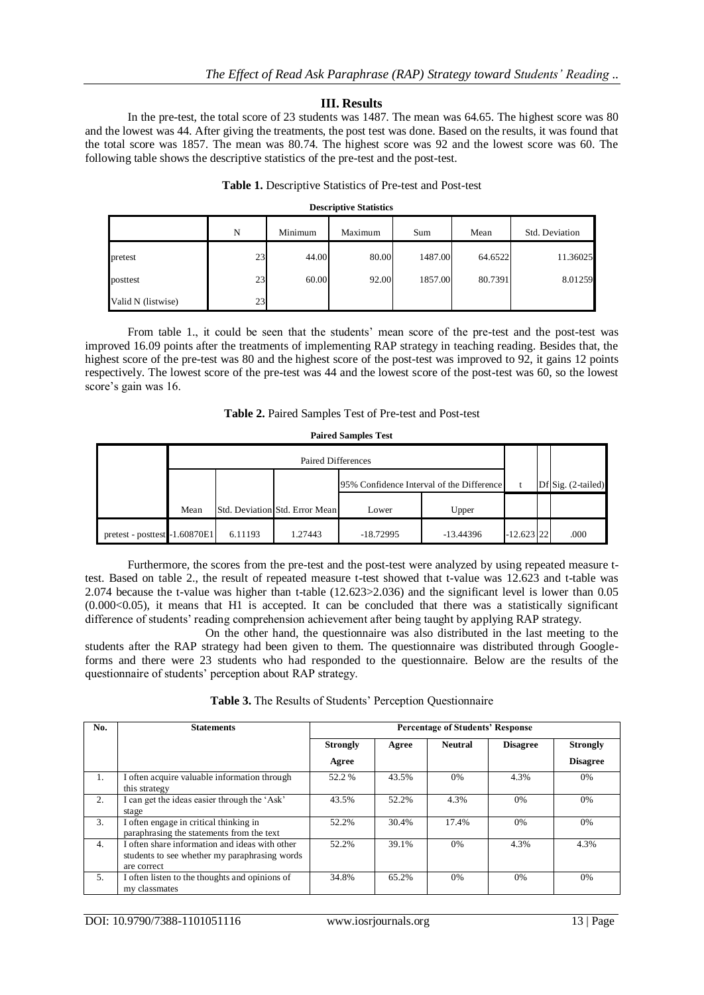# **III. Results**

In the pre-test, the total score of 23 students was 1487. The mean was 64.65. The highest score was 80 and the lowest was 44. After giving the treatments, the post test was done. Based on the results, it was found that the total score was 1857. The mean was 80.74. The highest score was 92 and the lowest score was 60. The following table shows the descriptive statistics of the pre-test and the post-test.

## **Table 1.** Descriptive Statistics of Pre-test and Post-test

#### **Descriptive Statistics**

|                    | N  | Minimum | Maximum | Sum     | Mean    | Std. Deviation |  |
|--------------------|----|---------|---------|---------|---------|----------------|--|
| pretest            | 23 | 44.00   | 80.00   | 1487.00 | 64.6522 | 11.36025       |  |
| posttest           | 23 | 60.00   | 92.00   | 1857.00 | 80.7391 | 8.01259        |  |
| Valid N (listwise) | 23 |         |         |         |         |                |  |

From table 1., it could be seen that the students' mean score of the pre-test and the post-test was improved 16.09 points after the treatments of implementing RAP strategy in teaching reading. Besides that, the highest score of the pre-test was 80 and the highest score of the post-test was improved to 92, it gains 12 points respectively. The lowest score of the pre-test was 44 and the lowest score of the post-test was 60, so the lowest score's gain was 16.

#### **Table 2.** Paired Samples Test of Pre-test and Post-test

#### **Paired Samples Test**

|                               | Paired Differences |         |                                |                                           |             |                       |      |
|-------------------------------|--------------------|---------|--------------------------------|-------------------------------------------|-------------|-----------------------|------|
|                               |                    |         |                                | 95% Confidence Interval of the Difference |             | Df Sig. $(2$ -tailed) |      |
|                               | Mean               |         | Std. Deviation Std. Error Mean | Lower                                     | Upper       |                       |      |
| pretest - posttest -1.60870E1 |                    | 6.11193 | 1.27443                        | $-18.72995$                               | $-13.44396$ | $-12.623$ 22          | .000 |

Furthermore, the scores from the pre-test and the post-test were analyzed by using repeated measure ttest. Based on table 2., the result of repeated measure t-test showed that t-value was 12.623 and t-table was 2.074 because the t-value was higher than t-table (12.623>2.036) and the significant level is lower than 0.05  $(0.000<0.05)$ , it means that H1 is accepted. It can be concluded that there was a statistically significant difference of students' reading comprehension achievement after being taught by applying RAP strategy.

On the other hand, the questionnaire was also distributed in the last meeting to the students after the RAP strategy had been given to them. The questionnaire was distributed through Googleforms and there were 23 students who had responded to the questionnaire. Below are the results of the questionnaire of students' perception about RAP strategy.

| <b>Table 3.</b> The Results of Students' Perception Questionnaire |  |
|-------------------------------------------------------------------|--|
|                                                                   |  |

| No. | <b>Statements</b>                                                                                              | <b>Percentage of Students' Response</b> |       |                |                 |                 |  |
|-----|----------------------------------------------------------------------------------------------------------------|-----------------------------------------|-------|----------------|-----------------|-----------------|--|
|     |                                                                                                                | <b>Strongly</b>                         | Agree | <b>Neutral</b> | <b>Disagree</b> | <b>Strongly</b> |  |
|     |                                                                                                                | Agree                                   |       |                |                 | <b>Disagree</b> |  |
| 1.  | I often acquire valuable information through<br>this strategy                                                  | 52.2 %                                  | 43.5% | $0\%$          | 4.3%            | 0%              |  |
| 2.  | I can get the ideas easier through the 'Ask'<br>stage                                                          | 43.5%                                   | 52.2% | 4.3%           | 0%              | 0%              |  |
| 3.  | I often engage in critical thinking in<br>paraphrasing the statements from the text                            | 52.2%                                   | 30.4% | 17.4%          | 0%              | 0%              |  |
| 4.  | I often share information and ideas with other<br>students to see whether my paraphrasing words<br>are correct | 52.2%                                   | 39.1% | 0%             | 4.3%            | 4.3%            |  |
| 5.  | I often listen to the thoughts and opinions of<br>my classmates                                                | 34.8%                                   | 65.2% | 0%             | 0%              | 0%              |  |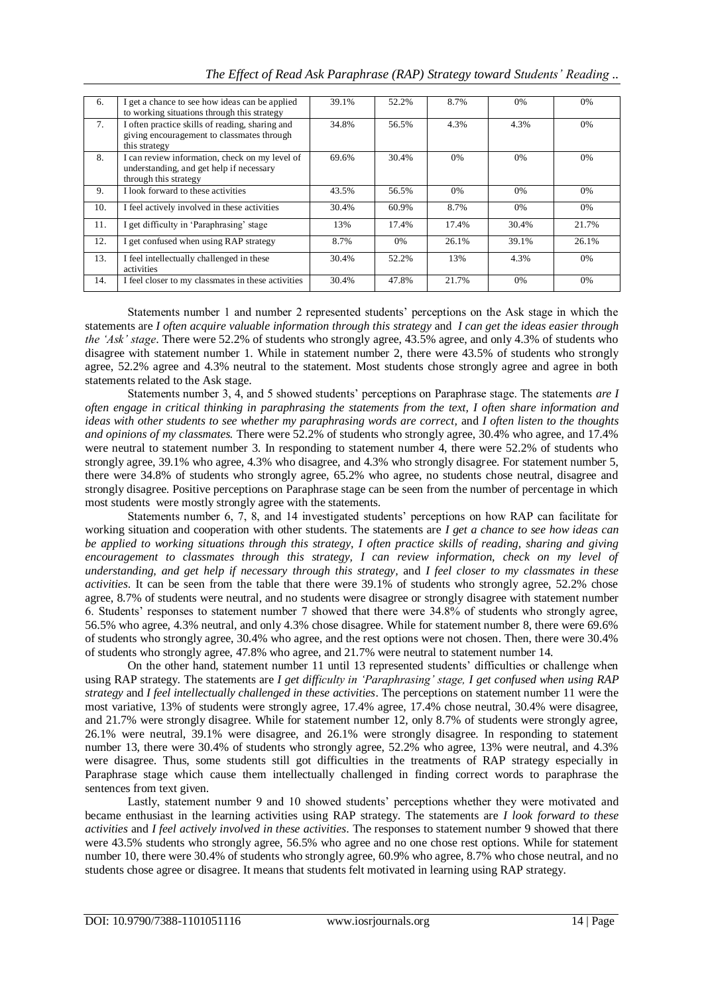| 6.  | I get a chance to see how ideas can be applied<br>to working situations through this strategy                       | 39.1% | 52.2% | 8.7%  | 0%    | $0\%$ |
|-----|---------------------------------------------------------------------------------------------------------------------|-------|-------|-------|-------|-------|
| 7.  | I often practice skills of reading, sharing and<br>giving encouragement to classmates through<br>this strategy      | 34.8% | 56.5% | 4.3%  | 4.3%  | 0%    |
| 8.  | I can review information, check on my level of<br>understanding, and get help if necessary<br>through this strategy | 69.6% | 30.4% | 0%    | 0%    | 0%    |
| 9.  | I look forward to these activities                                                                                  | 43.5% | 56.5% | 0%    | 0%    | 0%    |
| 10. | I feel actively involved in these activities                                                                        | 30.4% | 60.9% | 8.7%  | 0%    | 0%    |
| 11. | I get difficulty in 'Paraphrasing' stage                                                                            | 13%   | 17.4% | 17.4% | 30.4% | 21.7% |
| 12. | I get confused when using RAP strategy                                                                              | 8.7%  | $0\%$ | 26.1% | 39.1% | 26.1% |
| 13. | I feel intellectually challenged in these<br>activities                                                             | 30.4% | 52.2% | 13%   | 4.3%  | $0\%$ |
| 14. | I feel closer to my classmates in these activities                                                                  | 30.4% | 47.8% | 21.7% | 0%    | 0%    |

Statements number 1 and number 2 represented students' perceptions on the Ask stage in which the statements are *I often acquire valuable information through this strategy* and *I can get the ideas easier through the 'Ask' stage*. There were 52.2% of students who strongly agree, 43.5% agree, and only 4.3% of students who disagree with statement number 1. While in statement number 2, there were 43.5% of students who strongly agree, 52.2% agree and 4.3% neutral to the statement. Most students chose strongly agree and agree in both statements related to the Ask stage.

Statements number 3, 4, and 5 showed students' perceptions on Paraphrase stage. The statements *are I often engage in critical thinking in paraphrasing the statements from the text, I often share information and ideas with other students to see whether my paraphrasing words are correct,* and *I often listen to the thoughts and opinions of my classmates.* There were 52.2% of students who strongly agree, 30.4% who agree, and 17.4% were neutral to statement number 3. In responding to statement number 4, there were 52.2% of students who strongly agree, 39.1% who agree, 4.3% who disagree, and 4.3% who strongly disagree. For statement number 5, there were 34.8% of students who strongly agree, 65.2% who agree, no students chose neutral, disagree and strongly disagree. Positive perceptions on Paraphrase stage can be seen from the number of percentage in which most students were mostly strongly agree with the statements.

Statements number 6, 7, 8, and 14 investigated students' perceptions on how RAP can facilitate for working situation and cooperation with other students. The statements are *I get a chance to see how ideas can be applied to working situations through this strategy, I often practice skills of reading, sharing and giving encouragement to classmates through this strategy, I can review information, check on my level of understanding, and get help if necessary through this strategy,* and *I feel closer to my classmates in these activities*. It can be seen from the table that there were 39.1% of students who strongly agree, 52.2% chose agree, 8.7% of students were neutral, and no students were disagree or strongly disagree with statement number 6. Students' responses to statement number 7 showed that there were 34.8% of students who strongly agree, 56.5% who agree, 4.3% neutral, and only 4.3% chose disagree. While for statement number 8, there were 69.6% of students who strongly agree, 30.4% who agree, and the rest options were not chosen. Then, there were 30.4% of students who strongly agree, 47.8% who agree, and 21.7% were neutral to statement number 14.

On the other hand, statement number 11 until 13 represented students' difficulties or challenge when using RAP strategy. The statements are *I get difficulty in 'Paraphrasing' stage, I get confused when using RAP strategy* and *I feel intellectually challenged in these activities*. The perceptions on statement number 11 were the most variative, 13% of students were strongly agree, 17.4% agree, 17.4% chose neutral, 30.4% were disagree, and 21.7% were strongly disagree. While for statement number 12, only 8.7% of students were strongly agree, 26.1% were neutral, 39.1% were disagree, and 26.1% were strongly disagree. In responding to statement number 13, there were 30.4% of students who strongly agree, 52.2% who agree, 13% were neutral, and 4.3% were disagree. Thus, some students still got difficulties in the treatments of RAP strategy especially in Paraphrase stage which cause them intellectually challenged in finding correct words to paraphrase the sentences from text given.

Lastly, statement number 9 and 10 showed students' perceptions whether they were motivated and became enthusiast in the learning activities using RAP strategy. The statements are *I look forward to these activities* and *I feel actively involved in these activities*. The responses to statement number 9 showed that there were 43.5% students who strongly agree, 56.5% who agree and no one chose rest options. While for statement number 10, there were 30.4% of students who strongly agree, 60.9% who agree, 8.7% who chose neutral, and no students chose agree or disagree. It means that students felt motivated in learning using RAP strategy.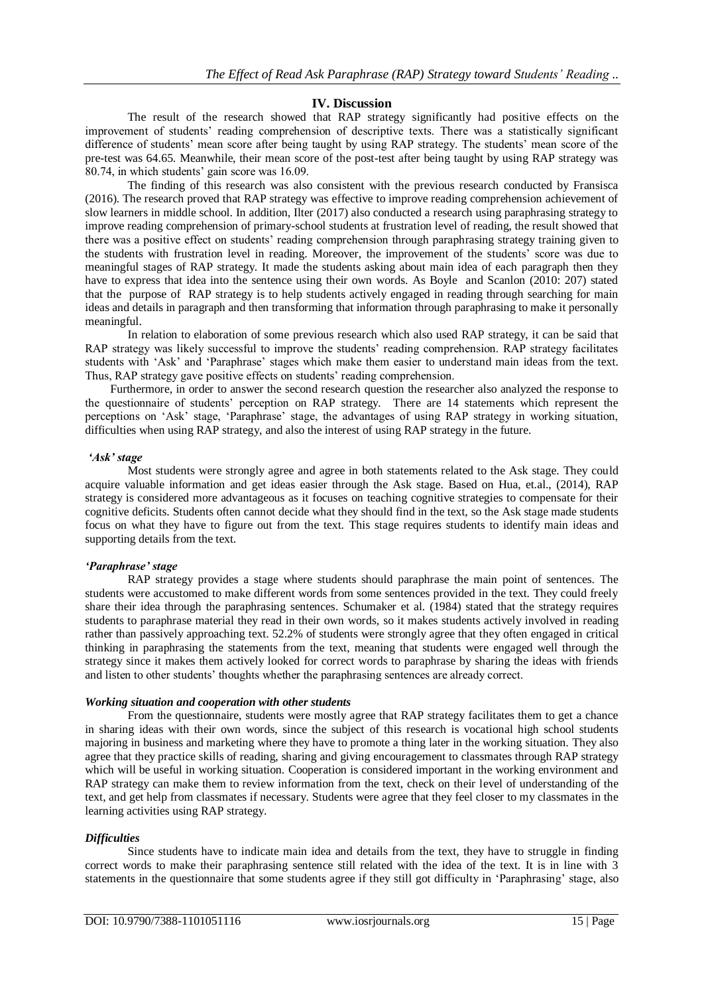# **IV. Discussion**

The result of the research showed that RAP strategy significantly had positive effects on the improvement of students' reading comprehension of descriptive texts. There was a statistically significant difference of students' mean score after being taught by using RAP strategy. The students' mean score of the pre-test was 64.65. Meanwhile, their mean score of the post-test after being taught by using RAP strategy was 80.74, in which students' gain score was 16.09.

The finding of this research was also consistent with the previous research conducted by Fransisca (2016). The research proved that RAP strategy was effective to improve reading comprehension achievement of slow learners in middle school. In addition, Ilter (2017) also conducted a research using paraphrasing strategy to improve reading comprehension of primary-school students at frustration level of reading, the result showed that there was a positive effect on students' reading comprehension through paraphrasing strategy training given to the students with frustration level in reading. Moreover, the improvement of the students' score was due to meaningful stages of RAP strategy. It made the students asking about main idea of each paragraph then they have to express that idea into the sentence using their own words. As Boyle and Scanlon (2010: 207) stated that the purpose of RAP strategy is to help students actively engaged in reading through searching for main ideas and details in paragraph and then transforming that information through paraphrasing to make it personally meaningful.

In relation to elaboration of some previous research which also used RAP strategy, it can be said that RAP strategy was likely successful to improve the students' reading comprehension. RAP strategy facilitates students with 'Ask' and 'Paraphrase' stages which make them easier to understand main ideas from the text. Thus, RAP strategy gave positive effects on students' reading comprehension.

Furthermore, in order to answer the second research question the researcher also analyzed the response to the questionnaire of students' perception on RAP strategy. There are 14 statements which represent the perceptions on 'Ask' stage, 'Paraphrase' stage, the advantages of using RAP strategy in working situation, difficulties when using RAP strategy, and also the interest of using RAP strategy in the future.

#### *'Ask' stage*

Most students were strongly agree and agree in both statements related to the Ask stage. They could acquire valuable information and get ideas easier through the Ask stage. Based on Hua, et.al., (2014), RAP strategy is considered more advantageous as it focuses on teaching cognitive strategies to compensate for their cognitive deficits. Students often cannot decide what they should find in the text, so the Ask stage made students focus on what they have to figure out from the text. This stage requires students to identify main ideas and supporting details from the text.

## *'Paraphrase' stage*

RAP strategy provides a stage where students should paraphrase the main point of sentences. The students were accustomed to make different words from some sentences provided in the text. They could freely share their idea through the paraphrasing sentences. Schumaker et al. (1984) stated that the strategy requires students to paraphrase material they read in their own words, so it makes students actively involved in reading rather than passively approaching text. 52.2% of students were strongly agree that they often engaged in critical thinking in paraphrasing the statements from the text, meaning that students were engaged well through the strategy since it makes them actively looked for correct words to paraphrase by sharing the ideas with friends and listen to other students' thoughts whether the paraphrasing sentences are already correct.

#### *Working situation and cooperation with other students*

From the questionnaire, students were mostly agree that RAP strategy facilitates them to get a chance in sharing ideas with their own words, since the subject of this research is vocational high school students majoring in business and marketing where they have to promote a thing later in the working situation. They also agree that they practice skills of reading, sharing and giving encouragement to classmates through RAP strategy which will be useful in working situation. Cooperation is considered important in the working environment and RAP strategy can make them to review information from the text, check on their level of understanding of the text, and get help from classmates if necessary. Students were agree that they feel closer to my classmates in the learning activities using RAP strategy.

## *Difficulties*

Since students have to indicate main idea and details from the text, they have to struggle in finding correct words to make their paraphrasing sentence still related with the idea of the text. It is in line with 3 statements in the questionnaire that some students agree if they still got difficulty in 'Paraphrasing' stage, also